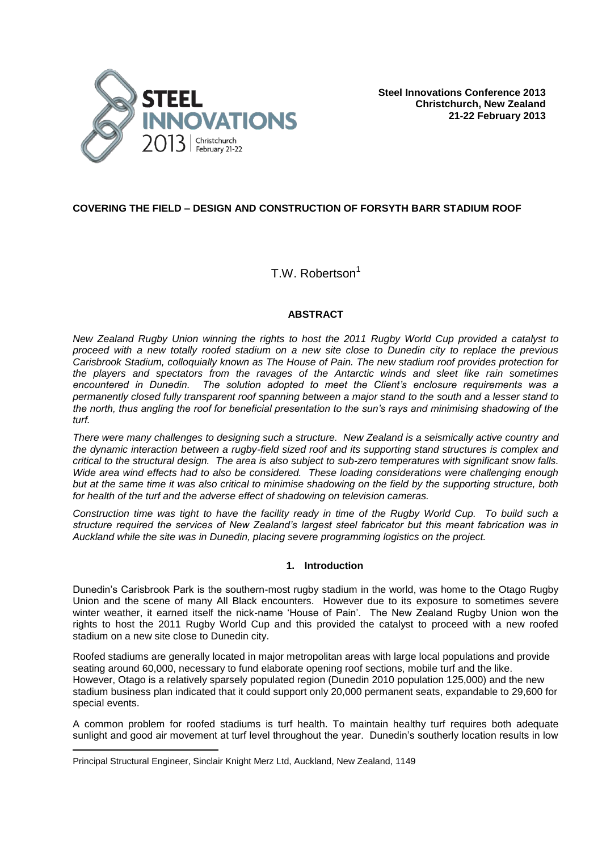

# **COVERING THE FIELD – DESIGN AND CONSTRUCTION OF FORSYTH BARR STADIUM ROOF**

# T.W. Robertson<sup>1</sup>

# **ABSTRACT**

*New Zealand Rugby Union winning the rights to host the 2011 Rugby World Cup provided a catalyst to proceed with a new totally roofed stadium on a new site close to Dunedin city to replace the previous Carisbrook Stadium, colloquially known as The House of Pain. The new stadium roof provides protection for the players and spectators from the ravages of the Antarctic winds and sleet like rain sometimes encountered in Dunedin. The solution adopted to meet the Client's enclosure requirements was a permanently closed fully transparent roof spanning between a major stand to the south and a lesser stand to the north, thus angling the roof for beneficial presentation to the sun's rays and minimising shadowing of the turf.*

*There were many challenges to designing such a structure. New Zealand is a seismically active country and the dynamic interaction between a rugby-field sized roof and its supporting stand structures is complex and critical to the structural design. The area is also subject to sub-zero temperatures with significant snow falls. Wide area wind effects had to also be considered. These loading considerations were challenging enough but at the same time it was also critical to minimise shadowing on the field by the supporting structure, both for health of the turf and the adverse effect of shadowing on television cameras.*

*Construction time was tight to have the facility ready in time of the Rugby World Cup. To build such a structure required the services of New Zealand's largest steel fabricator but this meant fabrication was in Auckland while the site was in Dunedin, placing severe programming logistics on the project.*

# **1. Introduction**

Dunedin's Carisbrook Park is the southern-most rugby stadium in the world, was home to the Otago Rugby Union and the scene of many All Black encounters. However due to its exposure to sometimes severe winter weather, it earned itself the nick-name 'House of Pain'. The New Zealand Rugby Union won the rights to host the 2011 Rugby World Cup and this provided the catalyst to proceed with a new roofed stadium on a new site close to Dunedin city.

Roofed stadiums are generally located in major metropolitan areas with large local populations and provide seating around 60,000, necessary to fund elaborate opening roof sections, mobile turf and the like. However, Otago is a relatively sparsely populated region (Dunedin 2010 population 125,000) and the new stadium business plan indicated that it could support only 20,000 permanent seats, expandable to 29,600 for special events.

A common problem for roofed stadiums is turf health. To maintain healthy turf requires both adequate sunlight and good air movement at turf level throughout the year. Dunedin's southerly location results in low

È,

Principal Structural Engineer, Sinclair Knight Merz Ltd, Auckland, New Zealand, 1149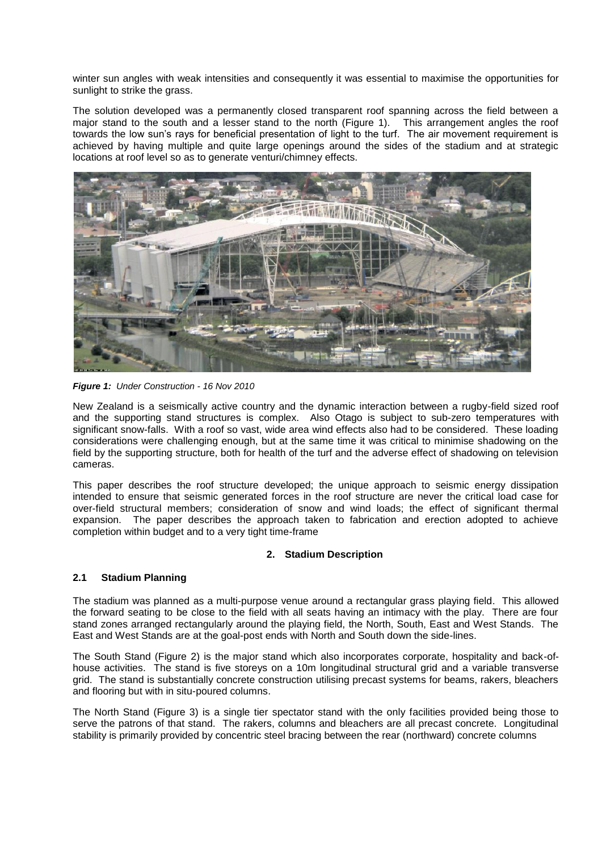winter sun angles with weak intensities and consequently it was essential to maximise the opportunities for sunlight to strike the grass.

The solution developed was a permanently closed transparent roof spanning across the field between a major stand to the south and a lesser stand to the north (Figure 1). This arrangement angles the roof towards the low sun's rays for beneficial presentation of light to the turf. The air movement requirement is achieved by having multiple and quite large openings around the sides of the stadium and at strategic locations at roof level so as to generate venturi/chimney effects.



*Figure 1: Under Construction - 16 Nov 2010*

New Zealand is a seismically active country and the dynamic interaction between a rugby-field sized roof and the supporting stand structures is complex. Also Otago is subject to sub-zero temperatures with significant snow-falls. With a roof so vast, wide area wind effects also had to be considered. These loading considerations were challenging enough, but at the same time it was critical to minimise shadowing on the field by the supporting structure, both for health of the turf and the adverse effect of shadowing on television cameras.

This paper describes the roof structure developed; the unique approach to seismic energy dissipation intended to ensure that seismic generated forces in the roof structure are never the critical load case for over-field structural members; consideration of snow and wind loads; the effect of significant thermal expansion. The paper describes the approach taken to fabrication and erection adopted to achieve completion within budget and to a very tight time-frame

# **2. Stadium Description**

#### **2.1 Stadium Planning**

The stadium was planned as a multi-purpose venue around a rectangular grass playing field. This allowed the forward seating to be close to the field with all seats having an intimacy with the play. There are four stand zones arranged rectangularly around the playing field, the North, South, East and West Stands. The East and West Stands are at the goal-post ends with North and South down the side-lines.

The South Stand (Figure 2) is the major stand which also incorporates corporate, hospitality and back-ofhouse activities. The stand is five storeys on a 10m longitudinal structural grid and a variable transverse grid. The stand is substantially concrete construction utilising precast systems for beams, rakers, bleachers and flooring but with in situ-poured columns.

The North Stand (Figure 3) is a single tier spectator stand with the only facilities provided being those to serve the patrons of that stand. The rakers, columns and bleachers are all precast concrete. Longitudinal stability is primarily provided by concentric steel bracing between the rear (northward) concrete columns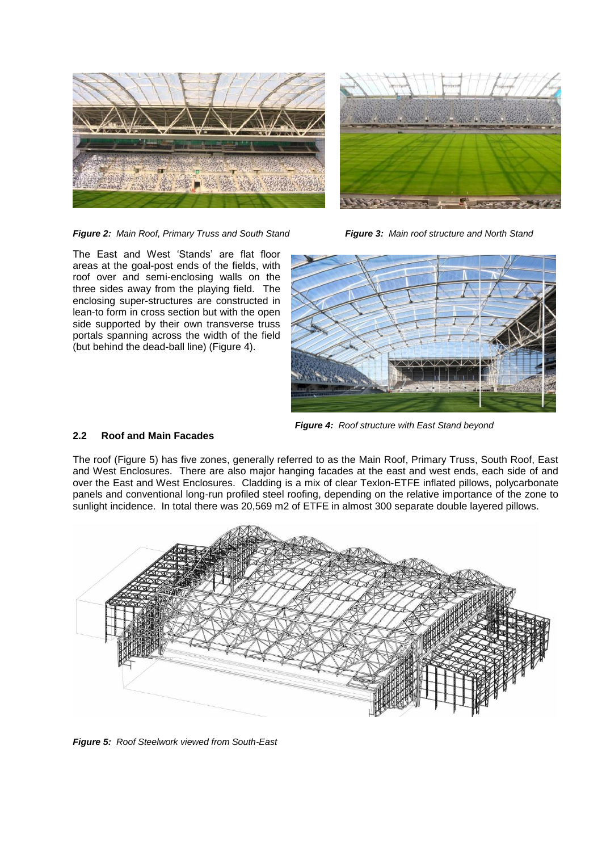



*Figure 2: Main Roof, Primary Truss and South Stand Figure 3: Main roof structure and North Stand*

The East and West 'Stands' are flat floor areas at the goal-post ends of the fields, with roof over and semi-enclosing walls on the three sides away from the playing field. The enclosing super-structures are constructed in lean-to form in cross section but with the open side supported by their own transverse truss portals spanning across the width of the field (but behind the dead-ball line) (Figure 4).



*Figure 4: Roof structure with East Stand beyond*

# **2.2 Roof and Main Facades**

The roof (Figure 5) has five zones, generally referred to as the Main Roof, Primary Truss, South Roof, East and West Enclosures. There are also major hanging facades at the east and west ends, each side of and over the East and West Enclosures. Cladding is a mix of clear Texlon-ETFE inflated pillows, polycarbonate panels and conventional long-run profiled steel roofing, depending on the relative importance of the zone to sunlight incidence. In total there was 20,569 m2 of ETFE in almost 300 separate double layered pillows.



*Figure 5: Roof Steelwork viewed from South-East*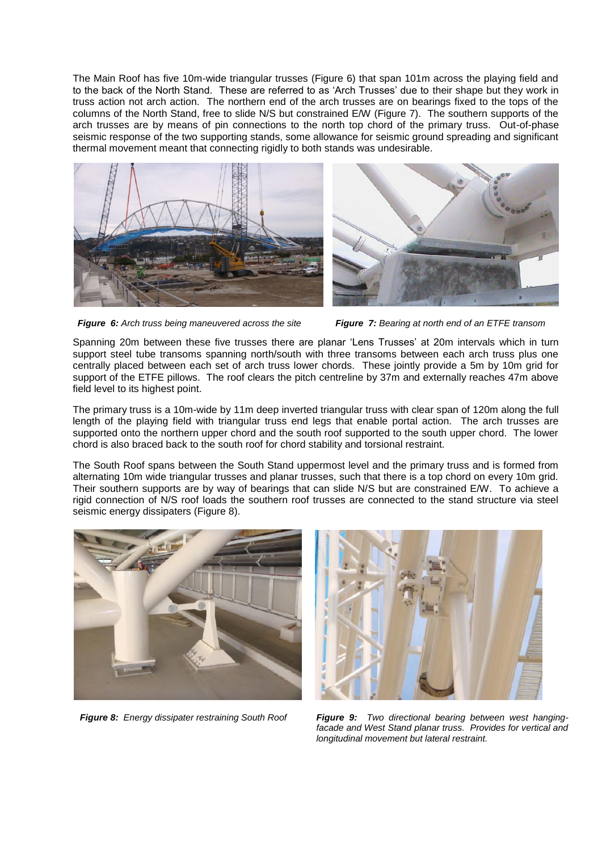The Main Roof has five 10m-wide triangular trusses (Figure 6) that span 101m across the playing field and to the back of the North Stand. These are referred to as 'Arch Trusses' due to their shape but they work in truss action not arch action. The northern end of the arch trusses are on bearings fixed to the tops of the columns of the North Stand, free to slide N/S but constrained E/W (Figure 7). The southern supports of the arch trusses are by means of pin connections to the north top chord of the primary truss. Out-of-phase seismic response of the two supporting stands, some allowance for seismic ground spreading and significant thermal movement meant that connecting rigidly to both stands was undesirable.





*Figure 6: Arch truss being maneuvered across the site Figure 7: Bearing at north end of an ETFE transom*

Spanning 20m between these five trusses there are planar 'Lens Trusses' at 20m intervals which in turn support steel tube transoms spanning north/south with three transoms between each arch truss plus one centrally placed between each set of arch truss lower chords. These jointly provide a 5m by 10m grid for support of the ETFE pillows. The roof clears the pitch centreline by 37m and externally reaches 47m above field level to its highest point.

The primary truss is a 10m-wide by 11m deep inverted triangular truss with clear span of 120m along the full length of the playing field with triangular truss end legs that enable portal action. The arch trusses are supported onto the northern upper chord and the south roof supported to the south upper chord. The lower chord is also braced back to the south roof for chord stability and torsional restraint.

The South Roof spans between the South Stand uppermost level and the primary truss and is formed from alternating 10m wide triangular trusses and planar trusses, such that there is a top chord on every 10m grid. Their southern supports are by way of bearings that can slide N/S but are constrained E/W. To achieve a rigid connection of N/S roof loads the southern roof trusses are connected to the stand structure via steel seismic energy dissipaters (Figure 8).





*Figure 8: Energy dissipater restraining South Roof Figure 9: Two directional bearing between west hangingfacade and West Stand planar truss. Provides for vertical and longitudinal movement but lateral restraint.*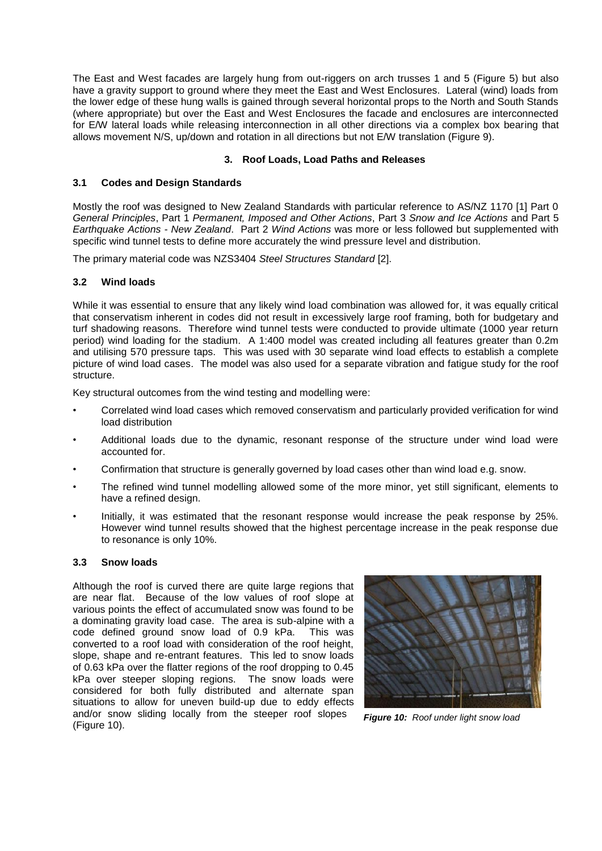The East and West facades are largely hung from out-riggers on arch trusses 1 and 5 (Figure 5) but also have a gravity support to ground where they meet the East and West Enclosures. Lateral (wind) loads from the lower edge of these hung walls is gained through several horizontal props to the North and South Stands (where appropriate) but over the East and West Enclosures the facade and enclosures are interconnected for E/W lateral loads while releasing interconnection in all other directions via a complex box bearing that allows movement N/S, up/down and rotation in all directions but not E/W translation (Figure 9).

# **3. Roof Loads, Load Paths and Releases**

# **3.1 Codes and Design Standards**

Mostly the roof was designed to New Zealand Standards with particular reference to AS/NZ 1170 [1] Part 0 *General Principles*, Part 1 *Permanent, Imposed and Other Actions*, Part 3 *Snow and Ice Actions* and Part 5 *Earthquake Actions - New Zealand*. Part 2 *Wind Actions* was more or less followed but supplemented with specific wind tunnel tests to define more accurately the wind pressure level and distribution.

The primary material code was NZS3404 *Steel Structures Standard* [2].

# **3.2 Wind loads**

While it was essential to ensure that any likely wind load combination was allowed for, it was equally critical that conservatism inherent in codes did not result in excessively large roof framing, both for budgetary and turf shadowing reasons. Therefore wind tunnel tests were conducted to provide ultimate (1000 year return period) wind loading for the stadium. A 1:400 model was created including all features greater than 0.2m and utilising 570 pressure taps. This was used with 30 separate wind load effects to establish a complete picture of wind load cases. The model was also used for a separate vibration and fatigue study for the roof structure.

Key structural outcomes from the wind testing and modelling were:

- Correlated wind load cases which removed conservatism and particularly provided verification for wind load distribution
- Additional loads due to the dynamic, resonant response of the structure under wind load were accounted for.
- Confirmation that structure is generally governed by load cases other than wind load e.g. snow.
- The refined wind tunnel modelling allowed some of the more minor, yet still significant, elements to have a refined design.
- Initially, it was estimated that the resonant response would increase the peak response by 25%. However wind tunnel results showed that the highest percentage increase in the peak response due to resonance is only 10%.

# **3.3 Snow loads**

Although the roof is curved there are quite large regions that are near flat. Because of the low values of roof slope at various points the effect of accumulated snow was found to be a dominating gravity load case. The area is sub-alpine with a code defined ground snow load of 0.9 kPa. This was converted to a roof load with consideration of the roof height, slope, shape and re-entrant features. This led to snow loads of 0.63 kPa over the flatter regions of the roof dropping to 0.45 kPa over steeper sloping regions. The snow loads were considered for both fully distributed and alternate span situations to allow for uneven build-up due to eddy effects and/or snow sliding locally from the steeper roof slopes (Figure 10).



*Figure 10: Roof under light snow load*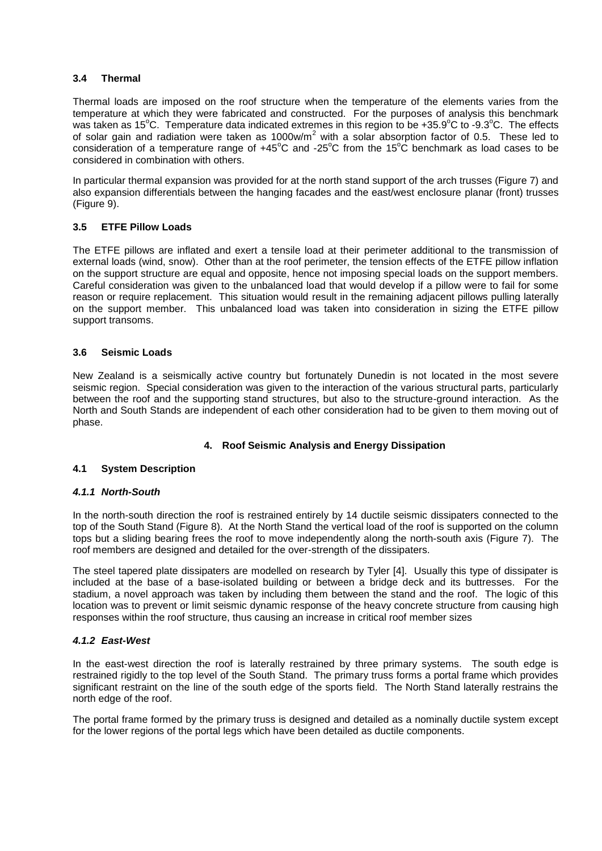# **3.4 Thermal**

Thermal loads are imposed on the roof structure when the temperature of the elements varies from the temperature at which they were fabricated and constructed. For the purposes of analysis this benchmark was taken as 15<sup>o</sup>C. Temperature data indicated extremes in this region to be +35.9<sup>o</sup>C to -9.3<sup>o</sup>C. The effects of solar gain and radiation were taken as 1000w/m<sup>2</sup> with a solar absorption factor of 0.5. These led to consideration of a temperature range of  $+45^{\circ}$ C and -25 $^{\circ}$ C from the 15 $^{\circ}$ C benchmark as load cases to be considered in combination with others.

In particular thermal expansion was provided for at the north stand support of the arch trusses (Figure 7) and also expansion differentials between the hanging facades and the east/west enclosure planar (front) trusses (Figure 9).

# **3.5 ETFE Pillow Loads**

The ETFE pillows are inflated and exert a tensile load at their perimeter additional to the transmission of external loads (wind, snow). Other than at the roof perimeter, the tension effects of the ETFE pillow inflation on the support structure are equal and opposite, hence not imposing special loads on the support members. Careful consideration was given to the unbalanced load that would develop if a pillow were to fail for some reason or require replacement. This situation would result in the remaining adjacent pillows pulling laterally on the support member. This unbalanced load was taken into consideration in sizing the ETFE pillow support transoms.

# **3.6 Seismic Loads**

New Zealand is a seismically active country but fortunately Dunedin is not located in the most severe seismic region. Special consideration was given to the interaction of the various structural parts, particularly between the roof and the supporting stand structures, but also to the structure-ground interaction. As the North and South Stands are independent of each other consideration had to be given to them moving out of phase.

# **4. Roof Seismic Analysis and Energy Dissipation**

# **4.1 System Description**

### *4.1.1 North-South*

In the north-south direction the roof is restrained entirely by 14 ductile seismic dissipaters connected to the top of the South Stand (Figure 8). At the North Stand the vertical load of the roof is supported on the column tops but a sliding bearing frees the roof to move independently along the north-south axis (Figure 7). The roof members are designed and detailed for the over-strength of the dissipaters.

The steel tapered plate dissipaters are modelled on research by Tyler [4]. Usually this type of dissipater is included at the base of a base-isolated building or between a bridge deck and its buttresses. For the stadium, a novel approach was taken by including them between the stand and the roof. The logic of this location was to prevent or limit seismic dynamic response of the heavy concrete structure from causing high responses within the roof structure, thus causing an increase in critical roof member sizes

#### *4.1.2 East-West*

In the east-west direction the roof is laterally restrained by three primary systems. The south edge is restrained rigidly to the top level of the South Stand. The primary truss forms a portal frame which provides significant restraint on the line of the south edge of the sports field. The North Stand laterally restrains the north edge of the roof.

The portal frame formed by the primary truss is designed and detailed as a nominally ductile system except for the lower regions of the portal legs which have been detailed as ductile components.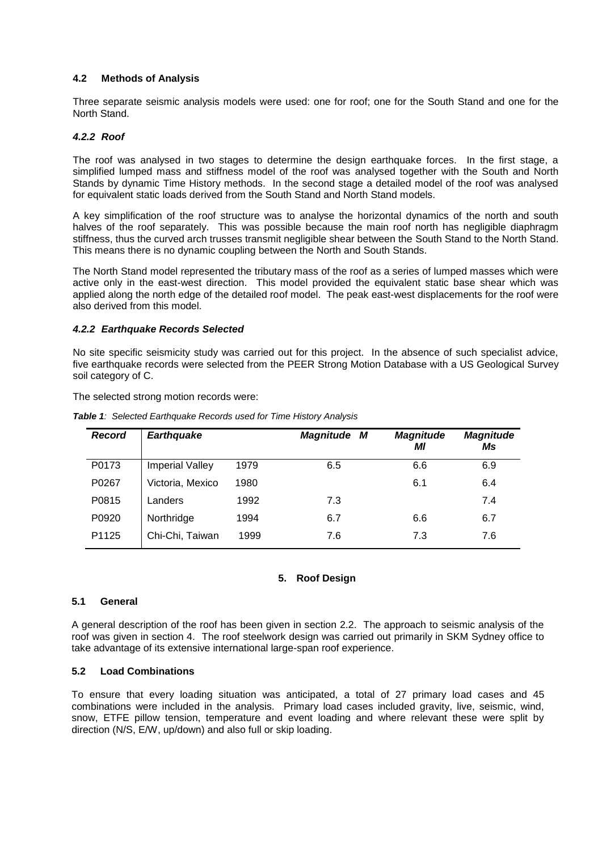# **4.2 Methods of Analysis**

Three separate seismic analysis models were used: one for roof; one for the South Stand and one for the North Stand.

#### *4.2.2 Roof*

The roof was analysed in two stages to determine the design earthquake forces. In the first stage, a simplified lumped mass and stiffness model of the roof was analysed together with the South and North Stands by dynamic Time History methods. In the second stage a detailed model of the roof was analysed for equivalent static loads derived from the South Stand and North Stand models.

A key simplification of the roof structure was to analyse the horizontal dynamics of the north and south halves of the roof separately. This was possible because the main roof north has negligible diaphragm stiffness, thus the curved arch trusses transmit negligible shear between the South Stand to the North Stand. This means there is no dynamic coupling between the North and South Stands.

The North Stand model represented the tributary mass of the roof as a series of lumped masses which were active only in the east-west direction. This model provided the equivalent static base shear which was applied along the north edge of the detailed roof model. The peak east-west displacements for the roof were also derived from this model.

#### *4.2.2 Earthquake Records Selected*

No site specific seismicity study was carried out for this project. In the absence of such specialist advice, five earthquake records were selected from the PEER Strong Motion Database with a US Geological Survey soil category of C.

The selected strong motion records were:

| <b>Record</b> | <b>Earthquake</b>      |      | <b>Magnitude</b><br>M | <b>Magnitude</b><br>ΜI | <b>Magnitude</b><br>Ms |
|---------------|------------------------|------|-----------------------|------------------------|------------------------|
| P0173         | <b>Imperial Valley</b> | 1979 | 6.5                   | 6.6                    | 6.9                    |
| P0267         | Victoria, Mexico       | 1980 |                       | 6.1                    | 6.4                    |
| P0815         | Landers                | 1992 | 7.3                   |                        | 7.4                    |
| P0920         | Northridge             | 1994 | 6.7                   | 6.6                    | 6.7                    |
| P1125         | Chi-Chi, Taiwan        | 1999 | 7.6                   | 7.3                    | 7.6                    |

*Table 1: Selected Earthquake Records used for Time History Analysis*

#### **5. Roof Design**

#### **5.1 General**

A general description of the roof has been given in section 2.2. The approach to seismic analysis of the roof was given in section 4. The roof steelwork design was carried out primarily in SKM Sydney office to take advantage of its extensive international large-span roof experience.

#### **5.2 Load Combinations**

To ensure that every loading situation was anticipated, a total of 27 primary load cases and 45 combinations were included in the analysis. Primary load cases included gravity, live, seismic, wind, snow, ETFE pillow tension, temperature and event loading and where relevant these were split by direction (N/S, E/W, up/down) and also full or skip loading.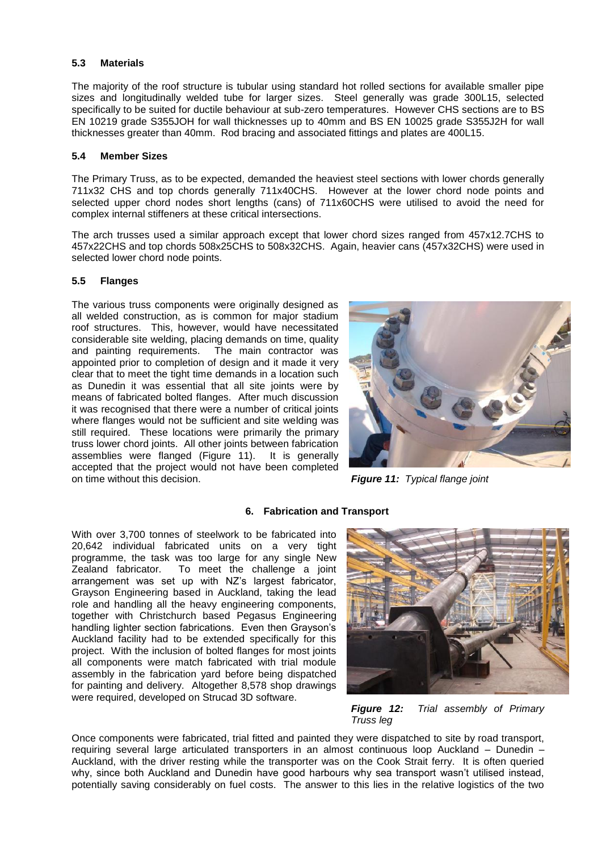#### **5.3 Materials**

The majority of the roof structure is tubular using standard hot rolled sections for available smaller pipe sizes and longitudinally welded tube for larger sizes. Steel generally was grade 300L15, selected specifically to be suited for ductile behaviour at sub-zero temperatures. However CHS sections are to BS EN 10219 grade S355JOH for wall thicknesses up to 40mm and BS EN 10025 grade S355J2H for wall thicknesses greater than 40mm. Rod bracing and associated fittings and plates are 400L15.

#### **5.4 Member Sizes**

The Primary Truss, as to be expected, demanded the heaviest steel sections with lower chords generally 711x32 CHS and top chords generally 711x40CHS. However at the lower chord node points and selected upper chord nodes short lengths (cans) of 711x60CHS were utilised to avoid the need for complex internal stiffeners at these critical intersections.

The arch trusses used a similar approach except that lower chord sizes ranged from 457x12.7CHS to 457x22CHS and top chords 508x25CHS to 508x32CHS. Again, heavier cans (457x32CHS) were used in selected lower chord node points.

### **5.5 Flanges**

The various truss components were originally designed as all welded construction, as is common for major stadium roof structures. This, however, would have necessitated considerable site welding, placing demands on time, quality and painting requirements. The main contractor was appointed prior to completion of design and it made it very clear that to meet the tight time demands in a location such as Dunedin it was essential that all site joints were by means of fabricated bolted flanges. After much discussion it was recognised that there were a number of critical joints where flanges would not be sufficient and site welding was still required. These locations were primarily the primary truss lower chord joints. All other joints between fabrication assemblies were flanged (Figure 11). It is generally accepted that the project would not have been completed on time without this decision. *Figure 11: Typical flange joint*



### **6. Fabrication and Transport**

With over 3,700 tonnes of steelwork to be fabricated into 20,642 individual fabricated units on a very tight programme, the task was too large for any single New Zealand fabricator. To meet the challenge a joint arrangement was set up with NZ's largest fabricator, Grayson Engineering based in Auckland, taking the lead role and handling all the heavy engineering components, together with Christchurch based Pegasus Engineering handling lighter section fabrications. Even then Grayson's Auckland facility had to be extended specifically for this project. With the inclusion of bolted flanges for most joints all components were match fabricated with trial module assembly in the fabrication yard before being dispatched for painting and delivery. Altogether 8,578 shop drawings were required, developed on Strucad 3D software.



*Figure 12: Trial assembly of Primary Truss leg*

Once components were fabricated, trial fitted and painted they were dispatched to site by road transport, requiring several large articulated transporters in an almost continuous loop Auckland – Dunedin – Auckland, with the driver resting while the transporter was on the Cook Strait ferry. It is often queried why, since both Auckland and Dunedin have good harbours why sea transport wasn't utilised instead, potentially saving considerably on fuel costs. The answer to this lies in the relative logistics of the two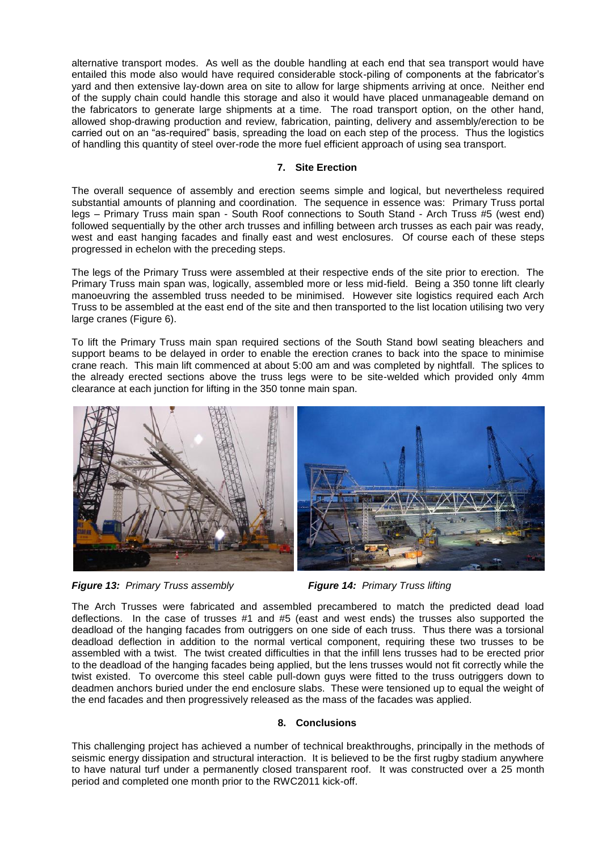alternative transport modes. As well as the double handling at each end that sea transport would have entailed this mode also would have required considerable stock-piling of components at the fabricator's yard and then extensive lay-down area on site to allow for large shipments arriving at once. Neither end of the supply chain could handle this storage and also it would have placed unmanageable demand on the fabricators to generate large shipments at a time. The road transport option, on the other hand, allowed shop-drawing production and review, fabrication, painting, delivery and assembly/erection to be carried out on an "as-required" basis, spreading the load on each step of the process. Thus the logistics of handling this quantity of steel over-rode the more fuel efficient approach of using sea transport.

### **7. Site Erection**

The overall sequence of assembly and erection seems simple and logical, but nevertheless required substantial amounts of planning and coordination. The sequence in essence was: Primary Truss portal legs – Primary Truss main span - South Roof connections to South Stand - Arch Truss #5 (west end) followed sequentially by the other arch trusses and infilling between arch trusses as each pair was ready, west and east hanging facades and finally east and west enclosures. Of course each of these steps progressed in echelon with the preceding steps.

The legs of the Primary Truss were assembled at their respective ends of the site prior to erection. The Primary Truss main span was, logically, assembled more or less mid-field. Being a 350 tonne lift clearly manoeuvring the assembled truss needed to be minimised. However site logistics required each Arch Truss to be assembled at the east end of the site and then transported to the list location utilising two very large cranes (Figure 6).

To lift the Primary Truss main span required sections of the South Stand bowl seating bleachers and support beams to be delayed in order to enable the erection cranes to back into the space to minimise crane reach. This main lift commenced at about 5:00 am and was completed by nightfall. The splices to the already erected sections above the truss legs were to be site-welded which provided only 4mm clearance at each junction for lifting in the 350 tonne main span.





The Arch Trusses were fabricated and assembled precambered to match the predicted dead load deflections. In the case of trusses #1 and #5 (east and west ends) the trusses also supported the deadload of the hanging facades from outriggers on one side of each truss. Thus there was a torsional deadload deflection in addition to the normal vertical component, requiring these two trusses to be assembled with a twist. The twist created difficulties in that the infill lens trusses had to be erected prior to the deadload of the hanging facades being applied, but the lens trusses would not fit correctly while the twist existed. To overcome this steel cable pull-down guys were fitted to the truss outriggers down to deadmen anchors buried under the end enclosure slabs. These were tensioned up to equal the weight of the end facades and then progressively released as the mass of the facades was applied.

# **8. Conclusions**

This challenging project has achieved a number of technical breakthroughs, principally in the methods of seismic energy dissipation and structural interaction. It is believed to be the first rugby stadium anywhere to have natural turf under a permanently closed transparent roof. It was constructed over a 25 month period and completed one month prior to the RWC2011 kick-off.